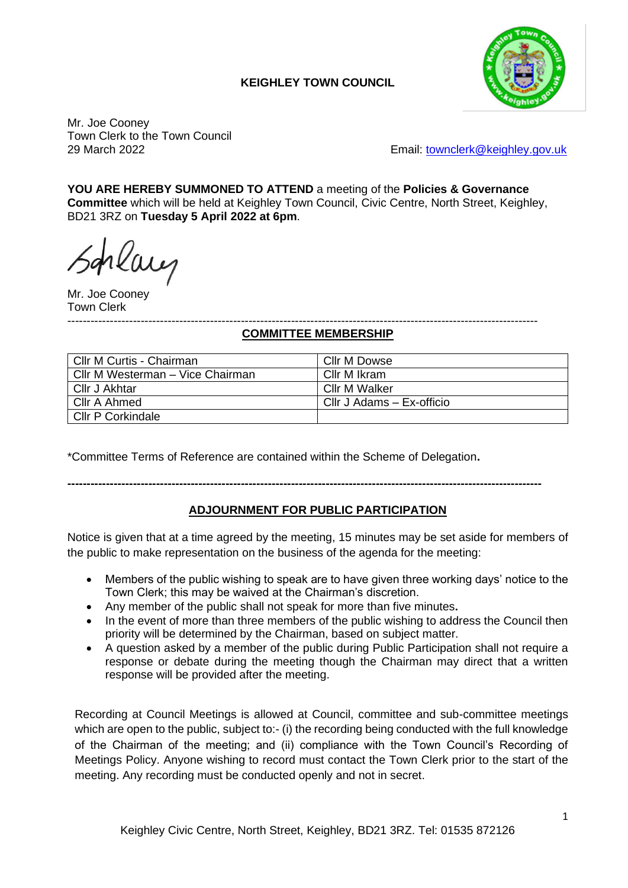# **KEIGHLEY TOWN COUNCIL**



Mr. Joe Cooney Town Clerk to the Town Council

29 March 2022 Email: [townclerk@keighley.gov.uk](mailto:townclerk@keighley.gov.uk)

**YOU ARE HEREBY SUMMONED TO ATTEND** a meeting of the **Policies & Governance Committee** which will be held at Keighley Town Council, Civic Centre, North Street, Keighley, BD21 3RZ on **Tuesday 5 April 2022 at 6pm**.

rlay

Mr. Joe Cooney Town Clerk

#### -------------------------------------------------------------------------------------------------------------------------- **COMMITTEE MEMBERSHIP**

| Cllr M Curtis - Chairman         | Cllr M Dowse              |
|----------------------------------|---------------------------|
| Cllr M Westerman - Vice Chairman | Cllr M Ikram              |
| Cllr J Akhtar                    | Cllr M Walker             |
| Cllr A Ahmed                     | Cllr J Adams - Ex-officio |
| <b>Cllr P Corkindale</b>         |                           |

\*Committee Terms of Reference are contained within the Scheme of Delegation**.**

**---------------------------------------------------------------------------------------------------------------------------**

### **ADJOURNMENT FOR PUBLIC PARTICIPATION**

Notice is given that at a time agreed by the meeting, 15 minutes may be set aside for members of the public to make representation on the business of the agenda for the meeting:

- Members of the public wishing to speak are to have given three working days' notice to the Town Clerk; this may be waived at the Chairman's discretion.
- Any member of the public shall not speak for more than five minutes**.**
- In the event of more than three members of the public wishing to address the Council then priority will be determined by the Chairman, based on subject matter.
- A question asked by a member of the public during Public Participation shall not require a response or debate during the meeting though the Chairman may direct that a written response will be provided after the meeting.

Recording at Council Meetings is allowed at Council, committee and sub-committee meetings which are open to the public, subject to:- (i) the recording being conducted with the full knowledge of the Chairman of the meeting; and (ii) compliance with the Town Council's Recording of Meetings Policy. Anyone wishing to record must contact the Town Clerk prior to the start of the meeting. Any recording must be conducted openly and not in secret.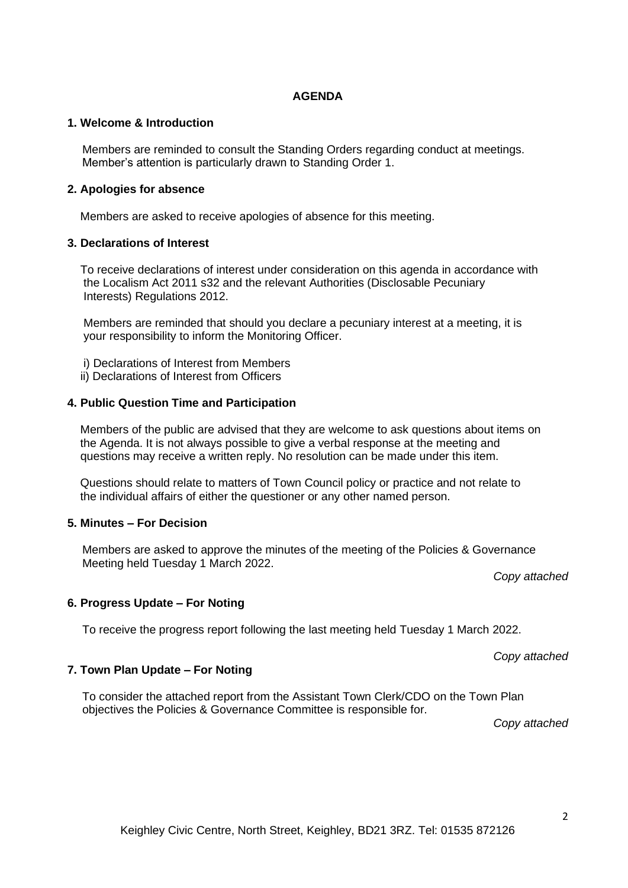### **AGENDA**

### **1. Welcome & Introduction**

Members are reminded to consult the Standing Orders regarding conduct at meetings. Member's attention is particularly drawn to Standing Order 1.

### **2. Apologies for absence**

Members are asked to receive apologies of absence for this meeting.

#### **3. Declarations of Interest**

 To receive declarations of interest under consideration on this agenda in accordance with the Localism Act 2011 s32 and the relevant Authorities (Disclosable Pecuniary Interests) Regulations 2012.

 Members are reminded that should you declare a pecuniary interest at a meeting, it is your responsibility to inform the Monitoring Officer.

- i) Declarations of Interest from Members
- ii) Declarations of Interest from Officers

#### **4. Public Question Time and Participation**

 Members of the public are advised that they are welcome to ask questions about items on the Agenda. It is not always possible to give a verbal response at the meeting and questions may receive a written reply. No resolution can be made under this item.

 Questions should relate to matters of Town Council policy or practice and not relate to the individual affairs of either the questioner or any other named person.

#### **5. Minutes – For Decision**

Members are asked to approve the minutes of the meeting of the Policies & Governance Meeting held Tuesday 1 March 2022.

*Copy attached*

### **6. Progress Update – For Noting**

To receive the progress report following the last meeting held Tuesday 1 March 2022.

*Copy attached*

#### **7. Town Plan Update – For Noting**

To consider the attached report from the Assistant Town Clerk/CDO on the Town Plan objectives the Policies & Governance Committee is responsible for.

*Copy attached*